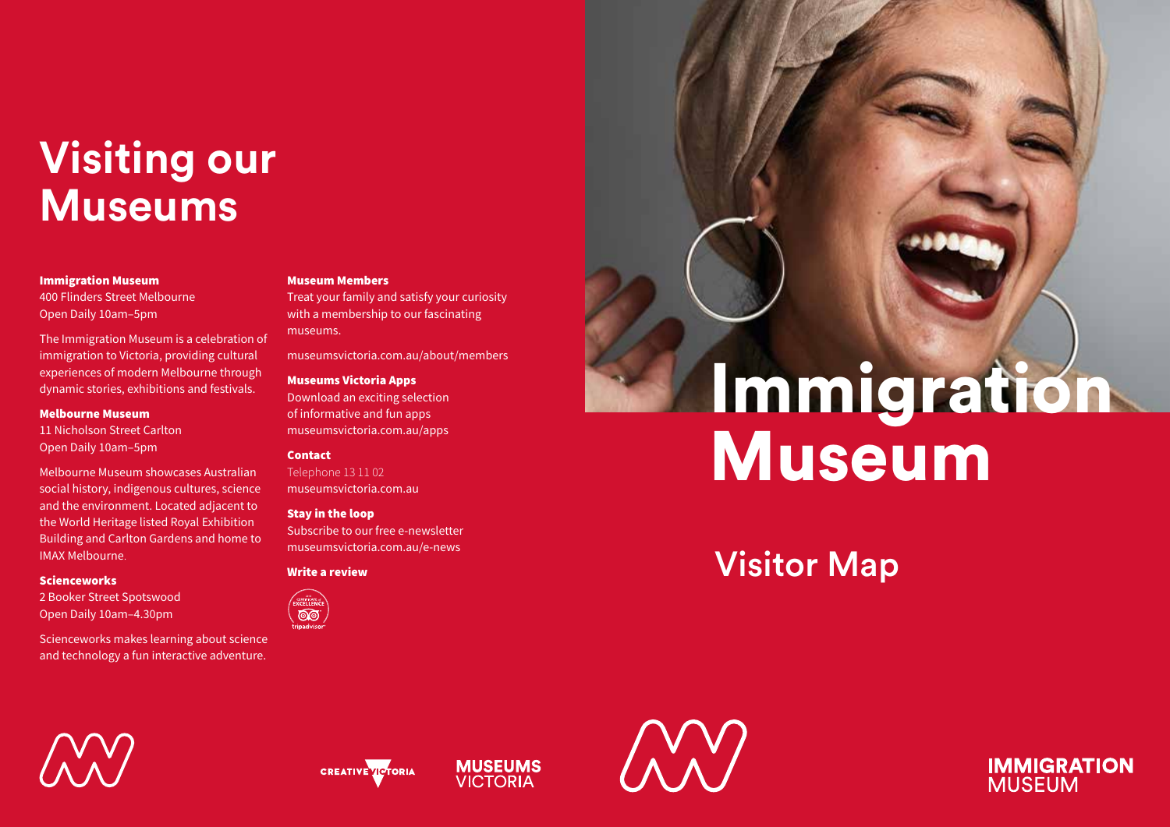## **Visiting our Museums**

#### Immigration Museum

400 Flinders Street Melbourne Open Daily 10am–5pm

The Immigration Museum is a celebration of immigration to Victoria, providing cultural experiences of modern Melbourne through dynamic stories, exhibitions and festivals.

#### Melbourne Museum

11 Nicholson Street Carlton Open Daily 10am–5pm

Melbourne Museum showcases Australian social history, indigenous cultures, science and the environment. Located adjacent to the World Heritage listed Royal Exhibition Building and Carlton Gardens and home to IMAX Melbourne.

#### Scienceworks

2 Booker Street Spotswood Open Daily 10am–4.30pm

Scienceworks makes learning about science and technology a fun interactive adventure.

#### Museum Members

Treat your family and satisfy your curiosity with a membership to our fascinating museums.

museumsvictoria.com.au/about/members

#### Museums Victoria Apps

Download an exciting selection of informative and fun apps museumsvictoria.com.au/apps

#### Contact

Telephone 13 11 02 museumsvictoria.com.au

#### Stay in the loop

Subscribe to our free e-newsletter museumsvictoria.com.au/e-news

#### Write a review



# Immigration Museum

### Visitor Map